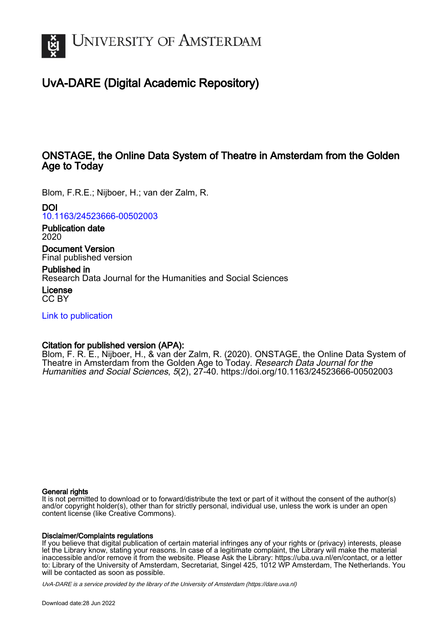

# UvA-DARE (Digital Academic Repository)

## ONSTAGE, the Online Data System of Theatre in Amsterdam from the Golden Age to Today

Blom, F.R.E.; Nijboer, H.; van der Zalm, R.

DOI

[10.1163/24523666-00502003](https://doi.org/10.1163/24523666-00502003)

Publication date 2020

Document Version Final published version

Published in Research Data Journal for the Humanities and Social Sciences

License CC BY

[Link to publication](https://dare.uva.nl/personal/pure/en/publications/onstage-the-online-data-system-of-theatre-in-amsterdam-from-the-golden-age-to-today(0ef73cd0-74ca-4664-a333-a083e9899796).html)

## Citation for published version (APA):

Blom, F. R. E., Nijboer, H., & van der Zalm, R. (2020). ONSTAGE, the Online Data System of Theatre in Amsterdam from the Golden Age to Today. Research Data Journal for the Humanities and Social Sciences, 5(2), 27-40.<https://doi.org/10.1163/24523666-00502003>

## General rights

It is not permitted to download or to forward/distribute the text or part of it without the consent of the author(s) and/or copyright holder(s), other than for strictly personal, individual use, unless the work is under an open content license (like Creative Commons).

## Disclaimer/Complaints regulations

If you believe that digital publication of certain material infringes any of your rights or (privacy) interests, please let the Library know, stating your reasons. In case of a legitimate complaint, the Library will make the material inaccessible and/or remove it from the website. Please Ask the Library: https://uba.uva.nl/en/contact, or a letter to: Library of the University of Amsterdam, Secretariat, Singel 425, 1012 WP Amsterdam, The Netherlands. You will be contacted as soon as possible.

UvA-DARE is a service provided by the library of the University of Amsterdam (http*s*://dare.uva.nl)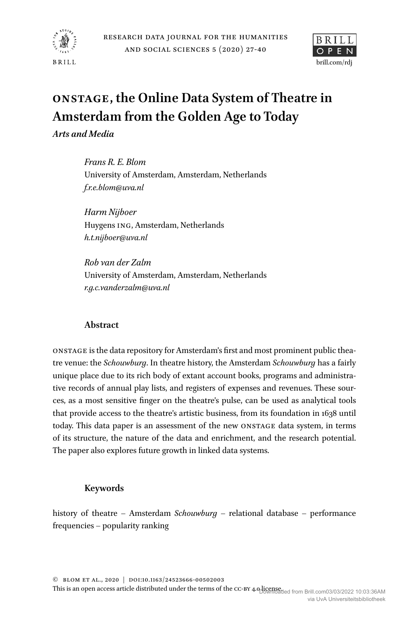



# **ONSTAGE, the Online Data System of Theatre in Amsterdam from the Golden Age to Today**

*Arts and Media*

*Frans R. E. Blom* University of Amsterdam, Amsterdam, Netherlands *f.r.e.blom@uva.nl*

*Harm Nijboer* Huygens ING, Amsterdam, Netherlands *h.t.nijboer@uva.nl*

*Rob van der Zalm* University of Amsterdam, Amsterdam, Netherlands *r.g.c.vanderzalm@uva.nl*

## **Abstract**

ONSTAGE is the data repository for Amsterdam's first and most prominent public theatre venue: the *Schouwburg*. In theatre history, the Amsterdam *Schouwburg* has a fairly unique place due to its rich body of extant account books, programs and administrative records of annual play lists, and registers of expenses and revenues. These sources, as a most sensitive finger on the theatre's pulse, can be used as analytical tools that provide access to the theatre's artistic business, from its foundation in 1638 until today. This data paper is an assessment of the new ONSTAGE data system, in terms of its structure, the nature of the data and enrichment, and the research potential. The paper also explores future growth in linked data systems.

## **Keywords**

history of theatre – Amsterdam *Schouwburg* – relational database – performance frequencies – popularity ranking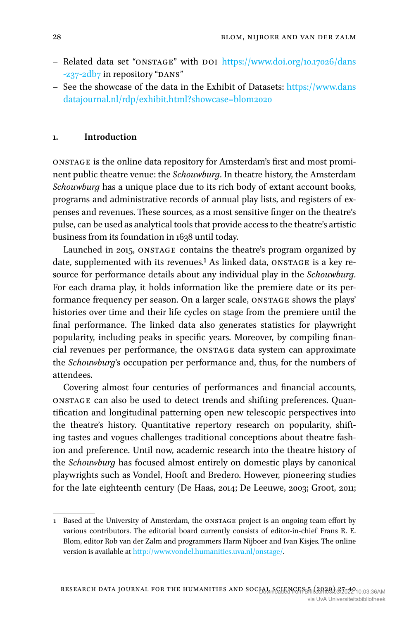- Related data set "ONSTAGE" with DOI [https://www.doi.org/10.17026/dans](https://www.doi.org/10.17026/dans-z37-2db7) [-z37-2db7](https://www.doi.org/10.17026/dans-z37-2db7) in repository "DANS"
- See the showcase of the data in the Exhibit of Datasets: [https://www.dans](https://www.dansdatajournal.nl/rdp/exhibit.html?showcase=blom2020) [datajournal.nl/rdp/exhibit.html?showcase=blom2020](https://www.dansdatajournal.nl/rdp/exhibit.html?showcase=blom2020)

#### **1. Introduction**

ONSTAGE is the online data repository for Amsterdam's first and most prominent public theatre venue: the *Schouwburg*. In theatre history, the Amsterdam *Schouwburg* has a unique place due to its rich body of extant account books, programs and administrative records of annual play lists, and registers of expenses and revenues. These sources, as a most sensitive finger on the theatre's pulse, can be used as analytical tools that provide access to the theatre's artistic business from its foundation in 1638 until today.

Launched in 2015, ONSTAGE contains the theatre's program organized by date, supplemented with its revenues.<sup>1</sup> As linked data, ONSTAGE is a key resource for performance details about any individual play in the *Schouwburg*. For each drama play, it holds information like the premiere date or its performance frequency per season. On a larger scale, ONSTAGE shows the plays' histories over time and their life cycles on stage from the premiere until the final performance. The linked data also generates statistics for playwright popularity, including peaks in specific years. Moreover, by compiling financial revenues per performance, the ONSTAGE data system can approximate the *Schouwburg*'s occupation per performance and, thus, for the numbers of attendees.

Covering almost four centuries of performances and financial accounts, ONSTAGE can also be used to detect trends and shifting preferences. Quantification and longitudinal patterning open new telescopic perspectives into the theatre's history. Quantitative repertory research on popularity, shifting tastes and vogues challenges traditional conceptions about theatre fashion and preference. Until now, academic research into the theatre history of the *Schouwburg* has focused almost entirely on domestic plays by canonical playwrights such as Vondel, Hooft and Bredero. However, pioneering studies for the late eighteenth century [\(De Haas, 2014;](#page-14-0) [De Leeuwe, 2003;](#page-14-1) [Groot, 2011](#page-14-2);

<span id="page-2-0"></span><sup>1</sup> Based at the University of Amsterdam, the ONSTAGE project is an ongoing team effort by various contributors. The editorial board currently consists of editor-in-chief Frans R. E. Blom, editor Rob van der Zalm and programmers Harm Nijboer and Ivan Kisjes. The online version is available at <http://www.vondel.humanities.uva.nl/onstage/>.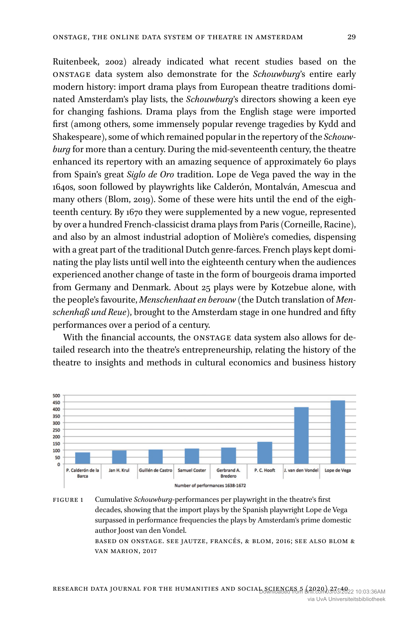[Ruitenbeek, 2002\)](#page-14-3) already indicated what recent studies based on the ONSTAGE data system also demonstrate for the *Schouwburg*'s entire early modern history: import drama plays from European theatre traditions dominated Amsterdam's play lists, the *Schouwburg*'s directors showing a keen eye for changing fashions. Drama plays from the English stage were imported first (among others, some immensely popular revenge tragedies by Kydd and Shakespeare), some of which remained popular in the repertory of the *Schouwburg* for more than a century. During the mid-seventeenth century, the theatre enhanced its repertory with an amazing sequence of approximately 60 plays from Spain's great *Siglo de Oro* tradition. Lope de Vega paved the way in the 1640s, soon followed by playwrights like Calderón, Montalván, Amescua and many others [\(Blom, 2019](#page-14-4)). Some of these were hits until the end of the eighteenth century. By 1670 they were supplemented by a new vogue, represented by over a hundred French-classicist drama plays from Paris (Corneille, Racine), and also by an almost industrial adoption of Molière's comedies, dispensing with a great part of the traditional Dutch genre-farces. French plays kept dominating the play lists until well into the eighteenth century when the audiences experienced another change of taste in the form of bourgeois drama imported from Germany and Denmark. About 25 plays were by Kotzebue alone, with the people's favourite, *Menschenhaat en berouw* (the Dutch translation of *Menschenhaß und Reue*), brought to the Amsterdam stage in one hundred and fifty performances over a period of a century.

With the financial accounts, the ONSTAGE data system also allows for detailed research into the theatre's entrepreneurship, relating the history of the theatre to insights and methods in cultural economics and business history



Figure 1 Cumulative *Schouwburg*-performances per playwright in the theatre's first decades, showing that the import plays by the Spanish playwright Lope de Vega surpassed in performance frequencies the plays by Amsterdam's prime domestic author Joost van den Vondel. based on onstage. see [jautze, francés, & blom, 2016;](#page-14-5) see also [blom &](#page-14-6) 

[van marion, 2017](#page-14-6)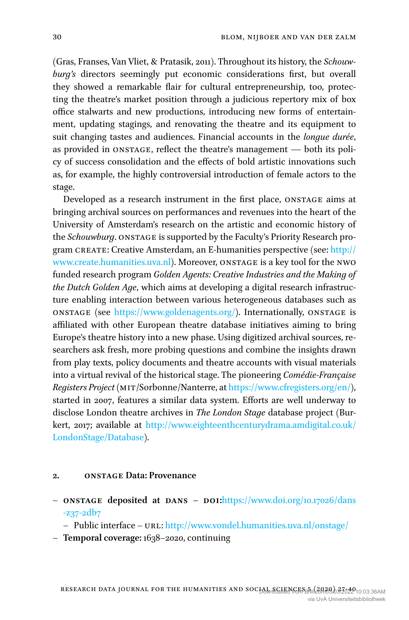[\(Gras, Franses, Van Vliet, & Pratasik, 2011](#page-14-7)). Throughout its history, the *Schouwburg's* directors seemingly put economic considerations first, but overall they showed a remarkable flair for cultural entrepreneurship, too, protecting the theatre's market position through a judicious repertory mix of box office stalwarts and new productions, introducing new forms of entertainment, updating stagings, and renovating the theatre and its equipment to suit changing tastes and audiences. Financial accounts in the *longue durée*, as provided in ONSTAGE, reflect the theatre's management — both its policy of success consolidation and the effects of bold artistic innovations such as, for example, the highly controversial introduction of female actors to the stage.

Developed as a research instrument in the first place, ONSTAGE aims at bringing archival sources on performances and revenues into the heart of the University of Amsterdam's research on the artistic and economic history of the *Schouwburg*. ONSTAGE is supported by the Faculty's Priority Research program CREATE: Creative Amsterdam, an E-humanities perspective (see: [http://](http://www.create.humanities.uva.nl) [www.create.humanities.uva.nl\)](http://www.create.humanities.uva.nl). Moreover, ONSTAGE is a key tool for the nwo funded research program *Golden Agents: Creative Industries and the Making of the Dutch Golden Age*, which aims at developing a digital research infrastructure enabling interaction between various heterogeneous databases such as ONSTAGE (see [https://www.goldenagents.org/\)](https://www.goldenagents.org/). Internationally, ONSTAGE is affiliated with other European theatre database initiatives aiming to bring Europe's theatre history into a new phase. Using digitized archival sources, researchers ask fresh, more probing questions and combine the insights drawn from play texts, policy documents and theatre accounts with visual materials into a virtual revival of the historical stage. The pioneering *Comédie-Française Registers Project* (mit/Sorbonne/Nanterre, at [https://www.cfregisters.org/en/\)](https://www.cfregisters.org/en/), started in 2007, features a similar data system. Efforts are well underway to disclose London theatre archives in *The London Stage* database project ([Bur](#page-14-8)[kert, 2017](#page-14-8); available at [http://www.eighteenthcenturydrama.amdigital.co.uk/](http://www.eighteenthcenturydrama.amdigital.co.uk/LondonStage/Database) [LondonStage/Database\)](http://www.eighteenthcenturydrama.amdigital.co.uk/LondonStage/Database).

#### **2. ONSTAGE Data: Provenance**

- **ONSTAGE deposited at DANS DOI:[https://www.doi.org/10.17026/dans](https://www.doi.org/10.17026/dans-z37-2db7)** [-z37-2db7](https://www.doi.org/10.17026/dans-z37-2db7)
	- Public interface URL: <http://www.vondel.humanities.uva.nl/onstage/>
- **Temporal coverage:** 1638–2020, continuing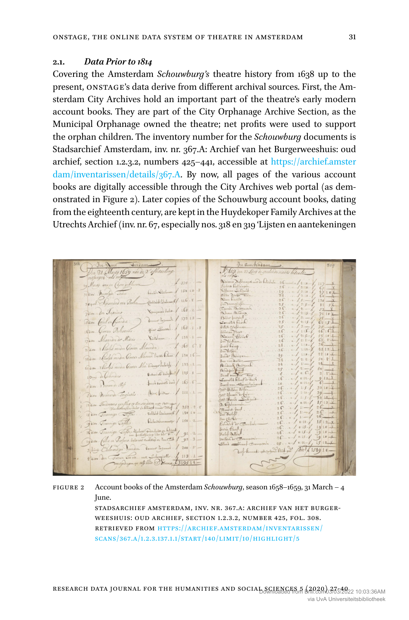#### **2.1.** *Data Prior to 1814*

Covering the Amsterdam *Schouwburg's* theatre history from 1638 up to the present, ONSTAGE's data derive from different archival sources. First, the Amsterdam City Archives hold an important part of the theatre's early modern account books. They are part of the City Orphanage Archive Section, as the Municipal Orphanage owned the theatre; net profits were used to support the orphan children. The inventory number for the *Schouwburg* documents is Stadsarchief Amsterdam, inv. nr. 367.A: Archief van het Burgerweeshuis: oud archief, section 1.2.3.2, numbers 425–441, accessible at [https://archief.amster](https://archief.amsterdam/inventarissen/details/367.A)  $\text{dam/inventarissen/details}/367.A.$  By now, all pages of the various account books are digitally accessible through the City Archives web portal (as demonstrated in Figure [2](#page-5-0)). Later copies of the Schouwburg account books, dating from the eighteenth century, are kept in the Huydekoper Family Archives at the Utrechts Archief (inv. nr. 67, especially nos. 318 en 319 'Lijsten en aantekeningen

<span id="page-5-0"></span>In amstixam J. 659. Jun 27 Feb 20 secol uty 1659 rai de 2. afbetaie inger ets retirer.<br>ig. men Can geblune Division Defilmant model Derbich 26.  $1375.$ Driana De<br>Lisboro Del<br>Sifamo Su 26. . . . . . / 2:18 Red Sidney 150 10 .8 (1080) + Walnut / 116.8 -Nam hinvita<br>Tan svoreglijfen<br>Exmen Boltsjaven  $\ldots$  Pulse / 168 . 2 -Reau Archive<br>Albert freedom<br>Comellit Cordi<br>Estat Ochlina<br>Bileian Poest<br>Noian Cordine<br>Freedom<br>Therau Cordine or beginning / 173 13 -Carl inference que Sum. 163.1.8 oten Beleverit.  $x_{120}$ nder der Midicis man Oma Marian.  $165.68$ Sucre Raing. reader Genera Mercino Victor Dara / 130 16-June Bérigen  $\frac{1}{2}$  2 30. 8 }  $\begin{array}{l} \mathfrak{F}_{\text{aux}} = \mathfrak{so} \times \mathfrak{so} \times \mathfrak{so} \times \mathfrak{so} \times \mathfrak{so} \times \mathfrak{so} \times \mathfrak{so} \times \mathfrak{so} \times \mathfrak{so} \times \mathfrak{so} \times \mathfrak{so} \times \mathfrak{so} \times \mathfrak{so} \times \mathfrak{so} \times \mathfrak{so} \times \mathfrak{so} \times \mathfrak{so} \times \mathfrak{so} \times \mathfrak{so} \times \mathfrak{so} \times \mathfrak{so} \times \mathfrak{so} \times \math$ Mary Harly man General Sice Cruso Salady 1 133 1  $\frac{1}{1000}$  . Therefore means oppose the control hold of  $185 \cdot 1$ <br> $\frac{1}{1000}$  . The control of the control bear  $\frac{1}{100}$  .  $\frac{1}{100}$  .  $\frac{1}{100}$  $3210$ Sam .: Minerale Toglette .... Boxford. .. / 111.1 -Casa Spisocross Surface of the New York 1982-2<br>18 Jan – Treasons Standarding of the New York 1984-1982-2<br>18 Jan – Transique Toppe, Addition Surface Container (f. 1880)<br>18 Jan – Cranning Toppe, Distributions (f. 1880) 2. Ordelmannsha<br>Bacant frank.<br>w. Fooloff Jam. Generaly Esperantist School Company (194)<br>River Generaly Copes Internet modeling in the Corp / 92-2-<br>Jam. (file in Profess Internet modeling in teacher / 92-3 $f_{\text{local}}$  $. a - 1015 - 1$  $Q<sub>r</sub>$  $25... - 100$ 3 Sing Celeverige Vyerden. Comme Ingend. 1 200 5 not Complete of Okat of Math 1599 10-4 2000 Des Treiner Les etc... une Schemickle. . / 113 . 1 -

Figure 2 Account books of the Amsterdam *Schouwburg*, season 1658–1659, 31 March – 4 June. stadsarchief amsterdam, inv. nr. 367.a: archief van het burgerweeshuis: oud archief, section 1.2.3.2, number 425, fol. 308. retrieved from [https://archief.amsterdam/inventarissen/](https://archief.amsterdam/inventarissen/scans/367.A/1.2.3.137.1.1/start/140/limit/10/highlight/5) [scans/367.A/1.2.3.137.1.1/start/140/limit/10/highlight/5](https://archief.amsterdam/inventarissen/scans/367.A/1.2.3.137.1.1/start/140/limit/10/highlight/5)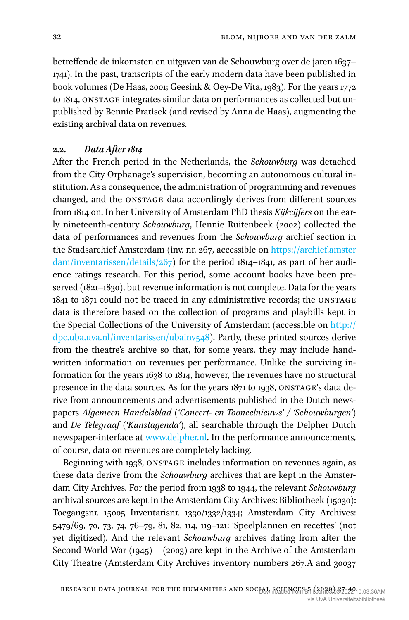betreffende de inkomsten en uitgaven van de Schouwburg over de jaren 1637– 1741). In the past, transcripts of the early modern data have been published in book volumes [\(De Haas, 2001;](#page-14-9) [Geesink & Oey-De Vita, 1983\)](#page-14-10). For the years 1772 to 1814, ONSTAGE integrates similar data on performances as collected but unpublished by Bennie Pratisek (and revised by Anna de Haas), augmenting the existing archival data on revenues.

### **2.2.** *Data After 1814*

After the French period in the Netherlands, the *Schouwburg* was detached from the City Orphanage's supervision, becoming an autonomous cultural institution. As a consequence, the administration of programming and revenues changed, and the ONSTAGE data accordingly derives from different sources from 1814 on. In her University of Amsterdam PhD thesis *Kijkcijfers* on the early nineteenth-century *Schouwburg*, Hennie [Ruitenbeek \(2002\)](#page-14-3) collected the data of performances and revenues from the *Schouwburg* archief section in the Stadsarchief Amsterdam (inv. nr. 267, accessible on [https://archief.amster](https://archief.amsterdam/inventarissen/details/267) [dam/inventarissen/details/267](https://archief.amsterdam/inventarissen/details/267)) for the period 1814–1841, as part of her audience ratings research. For this period, some account books have been preserved (1821–1830), but revenue information is not complete. Data for the years 1841 to 1871 could not be traced in any administrative records; the ONSTAGE data is therefore based on the collection of programs and playbills kept in the Special Collections of the University of Amsterdam (accessible on [http://](http://dpc.uba.uva.nl/inventarissen/ubainv548) [dpc.uba.uva.nl/inventarissen/ubainv548](http://dpc.uba.uva.nl/inventarissen/ubainv548)). Partly, these printed sources derive from the theatre's archive so that, for some years, they may include handwritten information on revenues per performance. Unlike the surviving information for the years 1638 to 1814, however, the revenues have no structural presence in the data sources. As for the years 1871 to 1938, ONSTAGE's data derive from announcements and advertisements published in the Dutch newspapers *Algemeen Handelsblad ('Concert- en Tooneelnieuws' / 'Schouwburgen')* and *De Telegraaf ('Kunstagenda')*, all searchable through the Delpher Dutch newspaper-interface at [www.delpher.nl](http://www.delpher.nl). In the performance announcements, of course, data on revenues are completely lacking.

Beginning with 1938, ONSTAGE includes information on revenues again, as these data derive from the *Schouwburg* archives that are kept in the Amsterdam City Archives. For the period from 1938 to 1944, the relevant *Schouwburg* archival sources are kept in the Amsterdam City Archives: Bibliotheek (15030): Toegangsnr. 15005 Inventarisnr. 1330/1332/1334; Amsterdam City Archives: 5479/69, 70, 73, 74, 76–79, 81, 82, 114, 119–121: 'Speelplannen en recettes' (not yet digitized). And the relevant *Schouwburg* archives dating from after the Second World War (1945) – (2003) are kept in the Archive of the Amsterdam City Theatre (Amsterdam City Archives inventory numbers 267.A and 30037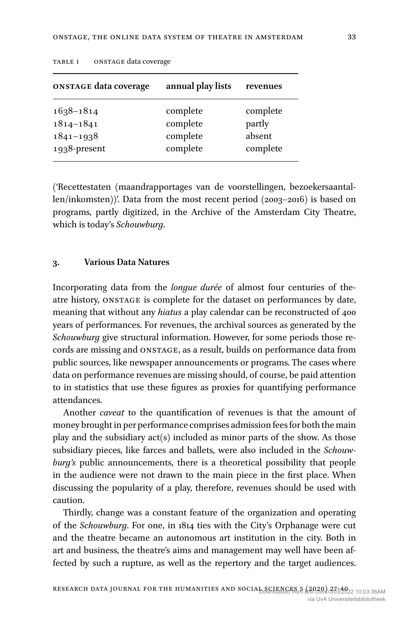| <b>ONSTAGE data coverage</b> | annual play lists | revenues |
|------------------------------|-------------------|----------|
| $1638 - 1814$                | complete          | complete |
| $1814 - 1841$                | complete          | partly   |
| $1841 - 1938$                | complete          | absent   |
| 1938-present                 | complete          | complete |

TABLE 1 ONSTAGE data coverage

('Recettestaten (maandrapportages van de voorstellingen, bezoekersaantallen/inkomsten))'. Data from the most recent period (2003–2016) is based on programs, partly digitized, in the Archive of the Amsterdam City Theatre, which is today's *Schouwburg*.

#### **3. Various Data Natures**

Incorporating data from the *longue durée* of almost four centuries of theatre history, ONSTAGE is complete for the dataset on performances by date, meaning that without any *hiatus* a play calendar can be reconstructed of 400 years of performances. For revenues, the archival sources as generated by the *Schouwburg* give structural information. However, for some periods those records are missing and ONSTAGE, as a result, builds on performance data from public sources, like newspaper announcements or programs. The cases where data on performance revenues are missing should, of course, be paid attention to in statistics that use these figures as proxies for quantifying performance attendances.

Another *caveat* to the quantification of revenues is that the amount of money brought in per performance comprises admission fees for both the main play and the subsidiary act(s) included as minor parts of the show. As those subsidiary pieces, like farces and ballets, were also included in the *Schouwburg's* public announcements, there is a theoretical possibility that people in the audience were not drawn to the main piece in the first place. When discussing the popularity of a play, therefore, revenues should be used with caution.

Thirdly, change was a constant feature of the organization and operating of the *Schouwburg*. For one, in 1814 ties with the City's Orphanage were cut and the theatre became an autonomous art institution in the city. Both in art and business, the theatre's aims and management may well have been affected by such a rupture, as well as the repertory and the target audiences.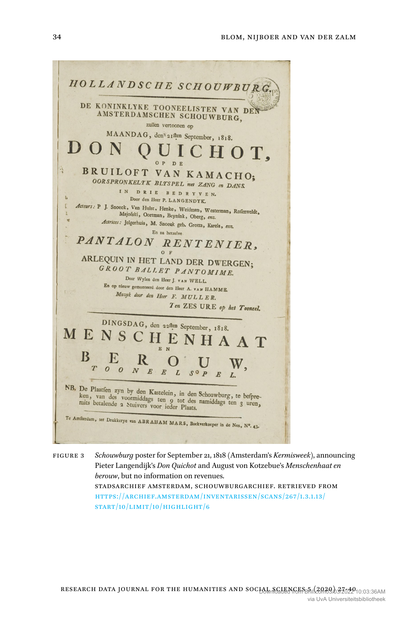

Figure 3 *Schouwburg* poster for September 21, 1818 (Amsterdam's *Kermisweek*), announcing Pieter Langendijk's *Don Quichot* and August von Kotzebue's *Menschenhaat en berouw*, but no information on revenues. stadsarchief amsterdam, schouwburgarchief. retrieved from [https://archief.amsterdam/inventarissen/scans/267/1.3.1.13/](https://archief.amsterdam/inventarissen/scans/267/1.3.1.13/start/10/limit/10/highlight/6) [start/10/limit/10/highlight/6](https://archief.amsterdam/inventarissen/scans/267/1.3.1.13/start/10/limit/10/highlight/6)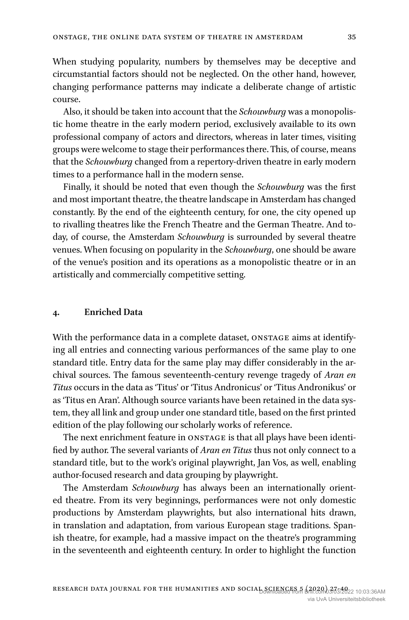When studying popularity, numbers by themselves may be deceptive and circumstantial factors should not be neglected. On the other hand, however, changing performance patterns may indicate a deliberate change of artistic course.

Also, it should be taken into account that the *Schouwburg* was a monopolistic home theatre in the early modern period, exclusively available to its own professional company of actors and directors, whereas in later times, visiting groups were welcome to stage their performances there. This, of course, means that the *Schouwburg* changed from a repertory-driven theatre in early modern times to a performance hall in the modern sense.

Finally, it should be noted that even though the *Schouwburg* was the first and most important theatre, the theatre landscape in Amsterdam has changed constantly. By the end of the eighteenth century, for one, the city opened up to rivalling theatres like the French Theatre and the German Theatre. And today, of course, the Amsterdam *Schouwburg* is surrounded by several theatre venues. When focusing on popularity in the *Schouwburg*, one should be aware of the venue's position and its operations as a monopolistic theatre or in an artistically and commercially competitive setting.

#### **4. Enriched Data**

With the performance data in a complete dataset, ONSTAGE aims at identifying all entries and connecting various performances of the same play to one standard title. Entry data for the same play may differ considerably in the archival sources. The famous seventeenth-century revenge tragedy of *Aran en Titus* occurs in the data as 'Titus' or 'Titus Andronicus' or 'Titus Andronikus' or as 'Titus en Aran'. Although source variants have been retained in the data system, they all link and group under one standard title, based on the first printed edition of the play following our scholarly works of reference.

The next enrichment feature in ONSTAGE is that all plays have been identified by author. The several variants of *Aran en Titus* thus not only connect to a standard title, but to the work's original playwright, Jan Vos, as well, enabling author-focused research and data grouping by playwright.

The Amsterdam *Schouwburg* has always been an internationally oriented theatre. From its very beginnings, performances were not only domestic productions by Amsterdam playwrights, but also international hits drawn, in translation and adaptation, from various European stage traditions. Spanish theatre, for example, had a massive impact on the theatre's programming in the seventeenth and eighteenth century. In order to highlight the function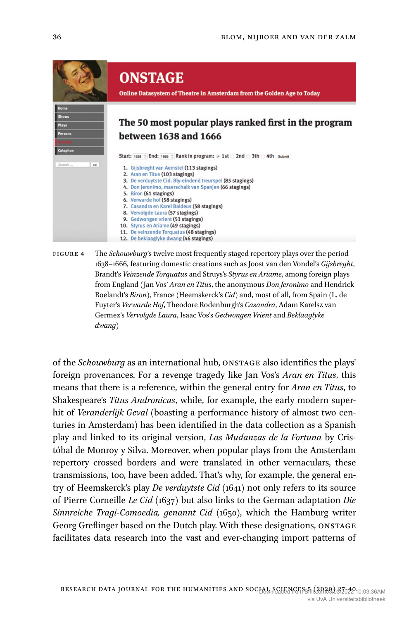

Figure 4 The *Schouwburg*'s twelve most frequently staged repertory plays over the period 1638–1666, featuring domestic creations such as Joost van den Vondel's *Gijsbreght*, Brandt's *Veinzende Torquatus* and Struys's *Styrus en Ariame*, among foreign plays from England (Jan Vos' *Aran en Titus*, the anonymous *Don Jeronimo* and Hendrick Roelandt's *Biron*), France (Heemskerck's *Cid*) and, most of all, from Spain (L. de Fuyter's *Verwarde Hof*, Theodore Rodenburgh's *Casandra*, Adam Karelsz van Germez's *Vervolgde Laura*, Isaac Vos's *Gedwongen Vrient* and *Beklaaglyke dwang*)

of the *Schouwburg* as an international hub, ONSTAGE also identifies the plays' foreign provenances. For a revenge tragedy like Jan Vos's *Aran en Titus*, this means that there is a reference, within the general entry for *Aran en Titus*, to Shakespeare's *Titus Andronicus*, while, for example, the early modern superhit of *Veranderlijk Geval* (boasting a performance history of almost two centuries in Amsterdam) has been identified in the data collection as a Spanish play and linked to its original version, *Las Mudanzas de la Fortuna* by Cristóbal de Monroy y Silva. Moreover, when popular plays from the Amsterdam repertory crossed borders and were translated in other vernaculars, these transmissions, too, have been added. That's why, for example, the general entry of Heemskerck's play *De verduytste Cid* (1641) not only refers to its source of Pierre Corneille *Le Cid* (1637) but also links to the German adaptation *Die Sinnreiche Tragi-Comoedia, genannt Cid* (1650), which the Hamburg writer Georg Greflinger based on the Dutch play. With these designations, ONSTAGE facilitates data research into the vast and ever-changing import patterns of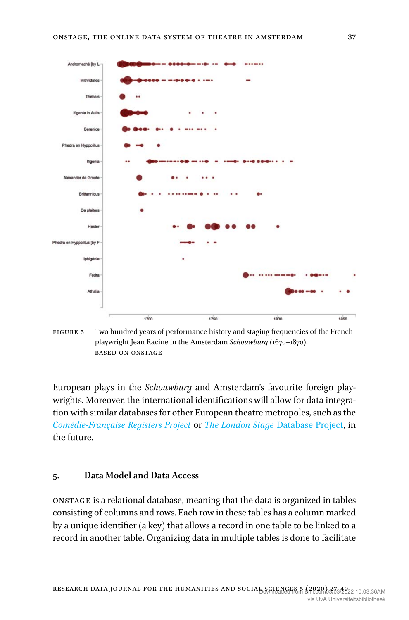

Figure 5 Two hundred years of performance history and staging frequencies of the French playwright Jean Racine in the Amsterdam *Schouwburg* (1670–1870). based on onstage

European plays in the *Schouwburg* and Amsterdam's favourite foreign playwrights. Moreover, the international identifications will allow for data integration with similar databases for other European theatre metropoles, such as the *[Comédie-Française Registers Project](https://www.cfregisters.org/en/)* or *The London Stage* [Database Project](http://www.eighteenthcenturydrama.amdigital.co.uk/LondonStage/Database), in the future.

### **5. Data Model and Data Access**

ONSTAGE is a relational database, meaning that the data is organized in tables consisting of columns and rows. Each row in these tables has a column marked by a unique identifier (a key) that allows a record in one table to be linked to a record in another table. Organizing data in multiple tables is done to facilitate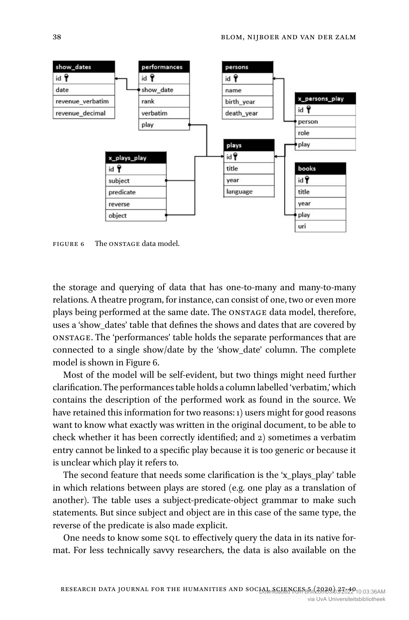<span id="page-12-0"></span>

Figure 6 The ONSTAGE data model.

the storage and querying of data that has one-to-many and many-to-many relations. A theatre program, for instance, can consist of one, two or even more plays being performed at the same date. The ONSTAGE data model, therefore, uses a 'show\_dates' table that defines the shows and dates that are covered by ONSTAGE. The 'performances' table holds the separate performances that are connected to a single show/date by the 'show\_date' column. The complete model is shown in Figure [6](#page-12-0).

Most of the model will be self-evident, but two things might need further clarification. The performances table holds a column labelled 'verbatim,' which contains the description of the performed work as found in the source. We have retained this information for two reasons: 1) users might for good reasons want to know what exactly was written in the original document, to be able to check whether it has been correctly identified; and 2) sometimes a verbatim entry cannot be linked to a specific play because it is too generic or because it is unclear which play it refers to.

The second feature that needs some clarification is the 'x\_plays\_play' table in which relations between plays are stored (e.g. one play as a translation of another). The table uses a subject-predicate-object grammar to make such statements. But since subject and object are in this case of the same type, the reverse of the predicate is also made explicit.

One needs to know some sql to effectively query the data in its native format. For less technically savvy researchers, the data is also available on the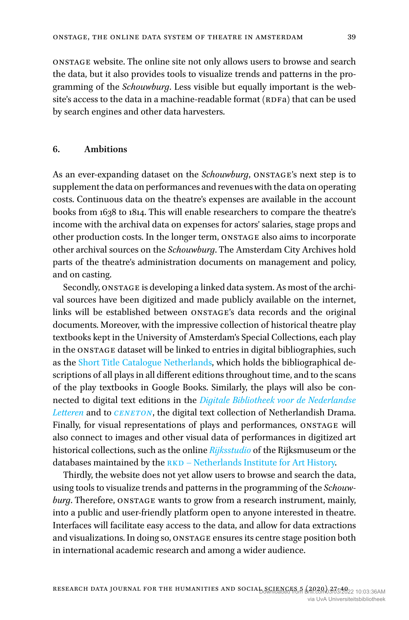ONSTAGE website. The online site not only allows users to browse and search the data, but it also provides tools to visualize trends and patterns in the programming of the *Schouwburg*. Less visible but equally important is the website's access to the data in a machine-readable format (RDFa) that can be used by search engines and other data harvesters.

#### **6. Ambitions**

As an ever-expanding dataset on the *Schouwburg*, ONSTAGE's next step is to supplement the data on performances and revenues with the data on operating costs. Continuous data on the theatre's expenses are available in the account books from 1638 to 1814. This will enable researchers to compare the theatre's income with the archival data on expenses for actors' salaries, stage props and other production costs. In the longer term, ONSTAGE also aims to incorporate other archival sources on the *Schouwburg*. The Amsterdam City Archives hold parts of the theatre's administration documents on management and policy, and on casting.

Secondly, ONSTAGE is developing a linked data system. As most of the archival sources have been digitized and made publicly available on the internet, links will be established between ONSTAGE's data records and the original documents. Moreover, with the impressive collection of historical theatre play textbooks kept in the University of Amsterdam's Special Collections, each play in the ONSTAGE dataset will be linked to entries in digital bibliographies, such as the [Short Title Catalogue Netherlands,](http://www.picarta.nl/DB=3.11/) which holds the bibliographical descriptions of all plays in all different editions throughout time, and to the scans of the play textbooks in Google Books. Similarly, the plays will also be connected to digital text editions in the *[Digitale Bibliotheek voor de Nederlandse](https://www.dbnl.nl/)  [Letteren](https://www.dbnl.nl/)* and to *[CENETON](http://www.let.leidenuniv.nl/Dutch/Ceneton/)*, the digital text collection of Netherlandish Drama. Finally, for visual representations of plays and performances, ONSTAGE will also connect to images and other visual data of performances in digitized art historical collections, such as the online *[Rijksstudio](https://www.rijksmuseum.nl/nl/rijksstudio)* of the Rijksmuseum or the databases maintained by the  $RKD - Netherlands$  Institute for Art History.

Thirdly, the website does not yet allow users to browse and search the data, using tools to visualize trends and patterns in the programming of the *Schouwburg*. Therefore, ONSTAGE wants to grow from a research instrument, mainly, into a public and user-friendly platform open to anyone interested in theatre. Interfaces will facilitate easy access to the data, and allow for data extractions and visualizations. In doing so, ONSTAGE ensures its centre stage position both in international academic research and among a wider audience.